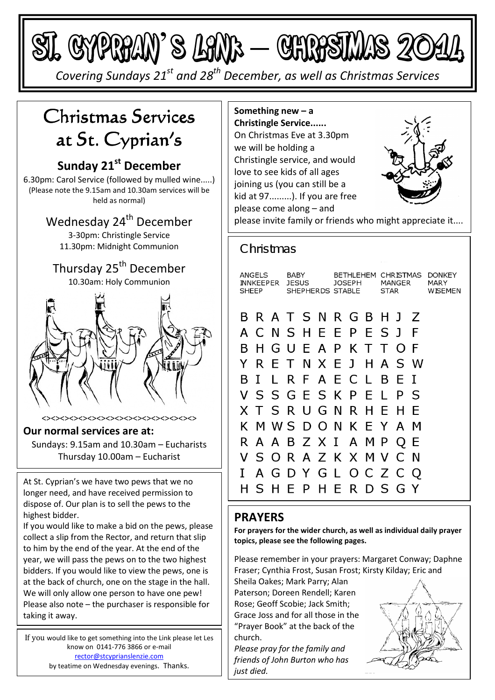St. Cyprian's Link

*Covering Sundays 21st and 28th December, as well as Christmas Services* 

# Christmas Services at St. Cyprian's

## **Sunday 21st December**

6.30pm: Carol Service (followed by mulled wine.....) (Please note the 9.15am and 10.30am services will be held as normal)

> Wednesday 24<sup>th</sup> December 3-30pm: Christingle Service 11.30pm: Midnight Communion

## Thursday 25<sup>th</sup> December 10.30am: Holy Communion



<><><><><><><><><><><><><><><><><>

#### **Our normal services are at:**

Sundays: 9.15am and 10.30am – Eucharists Thursday 10.00am – Eucharist

At St. Cyprian's we have two pews that we no longer need, and have received permission to dispose of. Our plan is to sell the pews to the highest bidder.

If you would like to make a bid on the pews, please collect a slip from the Rector, and return that slip to him by the end of the year. At the end of the year, we will pass the pews on to the two highest bidders. If you would like to view the pews, one is at the back of church, one on the stage in the hall. We will only allow one person to have one pew! Please also note – the purchaser is responsible for taking it away.

If you would like to get something into the Link please let Les know on 0141-776 3866 or e-mail rector@stcyprianslenzie.com by teatime on Wednesday evenings. Thanks.

**Something new – a Christingle Service......**  On Christmas Eve at 3.30pm we will be holding a Christingle service, and would love to see kids of all ages joining us (you can still be a kid at 97.........). If you are free please come along – and



please invite family or friends who might appreciate it....

## Christmas

| ANGELS<br><b>INNKEEPER</b><br>SHEEP |  |  | <b>BABY</b><br><b>JESUS</b><br>SHEPHERDS STABLE |  |                                                                           | BETHLEHEM<br>JOSEPH |  |  | CHRISTMAS<br>MANGER<br><b>STAR</b> |  |     | DONKEY<br>MARY<br>WISEMEN |
|-------------------------------------|--|--|-------------------------------------------------|--|---------------------------------------------------------------------------|---------------------|--|--|------------------------------------|--|-----|---------------------------|
| B.                                  |  |  |                                                 |  | B R A T S N R G B H J Z<br>A C N S H E E P E S J<br>H G U F A P K T T O F |                     |  |  |                                    |  | - F |                           |
| Y.                                  |  |  |                                                 |  | R E T N X E J H A S W                                                     |                     |  |  |                                    |  |     |                           |
| B.                                  |  |  |                                                 |  | I L R F A E C L B E                                                       |                     |  |  |                                    |  | T   |                           |
|                                     |  |  |                                                 |  | V S S G E S K P E L P                                                     |                     |  |  |                                    |  | -S  |                           |
|                                     |  |  |                                                 |  | X T S R U G N R H E H                                                     |                     |  |  |                                    |  | E   |                           |
|                                     |  |  |                                                 |  | K M W S D O N K E Y A M                                                   |                     |  |  |                                    |  |     |                           |
|                                     |  |  |                                                 |  | R A A B Z X I A M P Q E                                                   |                     |  |  |                                    |  |     |                           |
|                                     |  |  |                                                 |  | V S O R A Z K X M V C N                                                   |                     |  |  |                                    |  |     |                           |
| L                                   |  |  |                                                 |  | A G D Y G L O C Z C Q                                                     |                     |  |  |                                    |  |     |                           |
|                                     |  |  |                                                 |  | SHEPHERDSGY                                                               |                     |  |  |                                    |  |     |                           |

## **PRAYERS**

**For prayers for the wider church, as well as individual daily prayer topics, please see the following pages.** 

Please remember in your prayers: Margaret Conway; Daphne Fraser; Cynthia Frost, Susan Frost; Kirsty Kilday; Eric and

Sheila Oakes; Mark Parry; Alan Paterson; Doreen Rendell; Karen Rose; Geoff Scobie; Jack Smith; Grace Joss and for all those in the "Prayer Book" at the back of the church.

*Please pray for the family and friends of John Burton who has just died.*

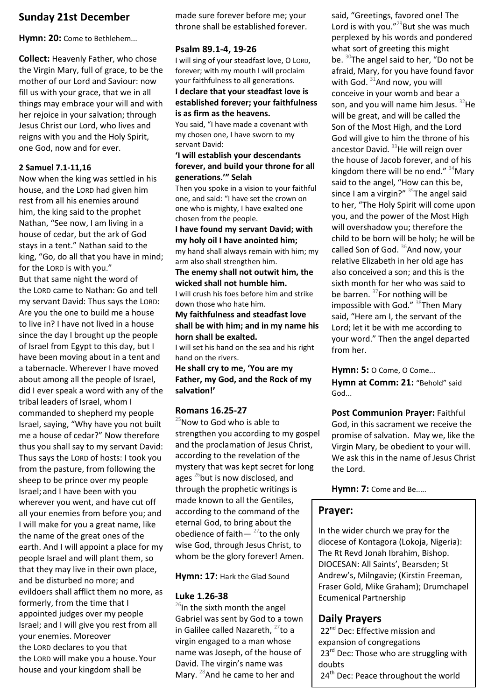## **Sunday 21st December**

Hymn: 20: Come to Bethlehem...

**Collect:** Heavenly Father, who chose the Virgin Mary, full of grace, to be the mother of our Lord and Saviour: now fill us with your grace, that we in all things may embrace your will and with her rejoice in your salvation; through Jesus Christ our Lord, who lives and reigns with you and the Holy Spirit, one God, now and for ever.

#### **2 Samuel 7.1-11,16**

Now when the king was settled in his house, and the LORD had given him rest from all his enemies around him, the king said to the prophet Nathan, "See now, I am living in a house of cedar, but the ark of God stays in a tent." Nathan said to the king, "Go, do all that you have in mind; for the LORD is with you." But that same night the word of the LORD came to Nathan: Go and tell my servant David: Thus says the LORD: Are you the one to build me a house to live in? I have not lived in a house since the day I brought up the people of Israel from Egypt to this day, but I have been moving about in a tent and a tabernacle. Wherever I have moved about among all the people of Israel, did I ever speak a word with any of the tribal leaders of Israel, whom I commanded to shepherd my people Israel, saying, "Why have you not built me a house of cedar?" Now therefore thus you shall say to my servant David: Thus says the LORD of hosts: I took you from the pasture, from following the sheep to be prince over my people Israel; and I have been with you wherever you went, and have cut off all your enemies from before you; and I will make for you a great name, like the name of the great ones of the earth. And I will appoint a place for my people Israel and will plant them, so that they may live in their own place, and be disturbed no more; and evildoers shall afflict them no more, as formerly, from the time that I appointed judges over my people Israel; and I will give you rest from all your enemies. Moreover the LORD declares to you that the LORD will make you a house. Your house and your kingdom shall be

made sure forever before me; your throne shall be established forever.

#### **Psalm 89.1-4, 19-26**

I will sing of your steadfast love, O LORD, forever; with my mouth I will proclaim your faithfulness to all generations. **I declare that your steadfast love is established forever; your faithfulness is as firm as the heavens.** 

You said, "I have made a covenant with my chosen one, I have sworn to my servant David:

#### **'I will establish your descendants forever, and build your throne for all generations.'" Selah**

Then you spoke in a vision to your faithful one, and said: "I have set the crown on one who is mighty, I have exalted one chosen from the people.

**I have found my servant David; with my holy oil I have anointed him;** 

my hand shall always remain with him; my arm also shall strengthen him.

**The enemy shall not outwit him, the wicked shall not humble him.** 

I will crush his foes before him and strike down those who hate him.

#### **My faithfulness and steadfast love shall be with him; and in my name his horn shall be exalted.**

I will set his hand on the sea and his right hand on the rivers.

**He shall cry to me, 'You are my Father, my God, and the Rock of my salvation!'** 

#### **Romans 16.25-27**

 $25$ Now to God who is able to strengthen you according to my gospel and the proclamation of Jesus Christ, according to the revelation of the mystery that was kept secret for long ages  $^{26}$ but is now disclosed, and through the prophetic writings is made known to all the Gentiles, according to the command of the eternal God, to bring about the obedience of faith $-$ <sup>27</sup>to the only wise God, through Jesus Christ, to whom be the glory forever! Amen.

Hymn: 17: Hark the Glad Sound

#### **Luke 1.26-38**

 $26$ In the sixth month the angel Gabriel was sent by God to a town in Galilee called Nazareth,  $27$ to a virgin engaged to a man whose name was Joseph, of the house of David. The virgin's name was Mary. <sup>28</sup>And he came to her and

said, "Greetings, favored one! The Lord is with you." $^{29}$ But she was much perplexed by his words and pondered what sort of greeting this might be.  $30$ The angel said to her, "Do not be afraid, Mary, for you have found favor with God.  $31$ And now, you will conceive in your womb and bear a son, and you will name him Jesus.  $32$ He will be great, and will be called the Son of the Most High, and the Lord God will give to him the throne of his ancestor David. <sup>33</sup>He will reign over the house of Jacob forever, and of his kingdom there will be no end."  $34$ Mary said to the angel, "How can this be, since I am a virgin?"  $35$ The angel said to her, "The Holy Spirit will come upon you, and the power of the Most High will overshadow you; therefore the child to be born will be holy; he will be called Son of God.  $36$ And now, your relative Elizabeth in her old age has also conceived a son; and this is the sixth month for her who was said to be barren.  $37$ For nothing will be impossible with God."  $38$ Then Mary said, "Here am I, the servant of the Lord; let it be with me according to your word." Then the angel departed from her.

**Hymn: 5:** O Come, O Come... Hymn at Comm: 21: "Behold" said God...

**Post Communion Prayer:** Faithful God, in this sacrament we receive the promise of salvation. May we, like the Virgin Mary, be obedient to your will. We ask this in the name of Jesus Christ the Lord.

Hymn: 7: Come and Be.....

#### **Prayer:**

In the wider church we pray for the diocese of Kontagora (Lokoja, Nigeria): The Rt Revd Jonah Ibrahim, Bishop. DIOCESAN: All Saints', Bearsden; St Andrew's, Milngavie; (Kirstin Freeman, Fraser Gold, Mike Graham); Drumchapel Ecumenical Partnership

### **Daily Prayers**

22<sup>nd</sup> Dec: Effective mission and expansion of congregations 23<sup>rd</sup> Dec: Those who are struggling with doubts 24<sup>th</sup> Dec: Peace throughout the world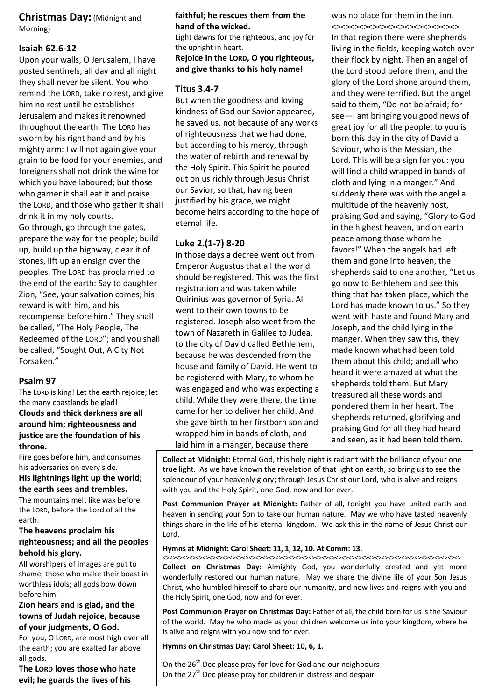#### **Christmas Day:** (Midnight and Morning)

#### **Isaiah 62.6-12**

Upon your walls, O Jerusalem, I have posted sentinels; all day and all night they shall never be silent. You who remind the LORD, take no rest, and give him no rest until he establishes Jerusalem and makes it renowned throughout the earth. The LORD has sworn by his right hand and by his mighty arm: I will not again give your grain to be food for your enemies, and foreigners shall not drink the wine for which you have laboured; but those who garner it shall eat it and praise the LORD, and those who gather it shall drink it in my holy courts. Go through, go through the gates, prepare the way for the people; build up, build up the highway, clear it of stones, lift up an ensign over the peoples. The LORD has proclaimed to the end of the earth: Say to daughter Zion, "See, your salvation comes; his reward is with him, and his recompense before him." They shall be called, "The Holy People, The Redeemed of the LORD"; and you shall be called, "Sought Out, A City Not Forsaken."

#### **Psalm 97**

The LORD is king! Let the earth rejoice; let the many coastlands be glad! **Clouds and thick darkness are all around him; righteousness and justice are the foundation of his throne.** 

Fire goes before him, and consumes his adversaries on every side.

**His lightnings light up the world; the earth sees and trembles.** 

The mountains melt like wax before the LORD, before the Lord of all the earth.

#### **The heavens proclaim his righteousness; and all the peoples behold his glory.**

All worshipers of images are put to shame, those who make their boast in worthless idols; all gods bow down before him.

#### **Zion hears and is glad, and the towns of Judah rejoice, because of your judgments, O God.**

For you, O LORD, are most high over all the earth; you are exalted far above all gods.

**The LORD loves those who hate evil; he guards the lives of his** 

#### **faithful; he rescues them from the hand of the wicked.**

Light dawns for the righteous, and joy for the upright in heart.

#### **Rejoice in the LORD, O you righteous, and give thanks to his holy name!**

#### **Titus 3.4-7**

But when the goodness and loving kindness of God our Savior appeared, he saved us, not because of any works of righteousness that we had done, but according to his mercy, through the water of rebirth and renewal by the Holy Spirit. This Spirit he poured out on us richly through Jesus Christ our Savior, so that, having been justified by his grace, we might become heirs according to the hope of eternal life.

#### **Luke 2.(1-7) 8-20**

In those days a decree went out from Emperor Augustus that all the world should be registered. This was the first registration and was taken while Quirinius was governor of Syria. All went to their own towns to be registered. Joseph also went from the town of Nazareth in Galilee to Judea, to the city of David called Bethlehem, because he was descended from the house and family of David. He went to be registered with Mary, to whom he was engaged and who was expecting a child.While they were there, the time came for her to deliver her child. And she gave birth to her firstborn son and wrapped him in bands of cloth, and laid him in a manger, because there

was no place for them in the inn. <><><><><><><><><><><><><><> In that region there were shepherds living in the fields, keeping watch over their flock by night. Then an angel of the Lord stood before them, and the glory of the Lord shone around them, and they were terrified. But the angel said to them, "Do not be afraid; for see—I am bringing you good news of great joy for all the people: to you is born this day in the city of David a Saviour, who is the Messiah, the Lord. This will be a sign for you: you will find a child wrapped in bands of cloth and lying in a manger." And suddenly there was with the angel a multitude of the heavenly host, praising God and saying, "Glory to God in the highest heaven, and on earth peace among those whom he favors!" When the angels had left them and gone into heaven, the shepherds said to one another, "Let us go now to Bethlehem and see this thing that has taken place, which the Lord has made known to us." So they went with haste and found Mary and Joseph, and the child lying in the manger. When they saw this, they made known what had been told them about this child; and all who heard it were amazed at what the shepherds told them. But Mary treasured all these words and pondered them in her heart. The shepherds returned, glorifying and praising God for all they had heard and seen, as it had been told them.

**Collect at Midnight:** Eternal God, this holy night is radiant with the brilliance of your one true light. As we have known the revelation of that light on earth, so bring us to see the splendour of your heavenly glory; through Jesus Christ our Lord, who is alive and reigns with you and the Holy Spirit, one God, now and for ever.

**Post Communion Prayer at Midnight:** Father of all, tonight you have united earth and heaven in sending your Son to take our human nature. May we who have tasted heavenly things share in the life of his eternal kingdom. We ask this in the name of Jesus Christ our Lord.

#### **Hymns at Midnight: Carol Sheet: 11, 1, 12, 10. At Comm: 13.**

<><><><><><><><><><><><><><><><><><><><><><><><><><><><><><><><><><><><><><><><><><><><><> **Collect on Christmas Day:** Almighty God, you wonderfully created and yet more wonderfully restored our human nature. May we share the divine life of your Son Jesus Christ, who humbled himself to share our humanity, and now lives and reigns with you and the Holy Spirit, one God, now and for ever.

**Post Communion Prayer on Christmas Day:** Father of all, the child born for us is the Saviour of the world. May he who made us your children welcome us into your kingdom, where he is alive and reigns with you now and for ever.

#### **Hymns on Christmas Day: Carol Sheet: 10, 6, 1.**

On the  $26<sup>th</sup>$  Dec please pray for love for God and our neighbours On the  $27<sup>th</sup>$  Dec please pray for children in distress and despair